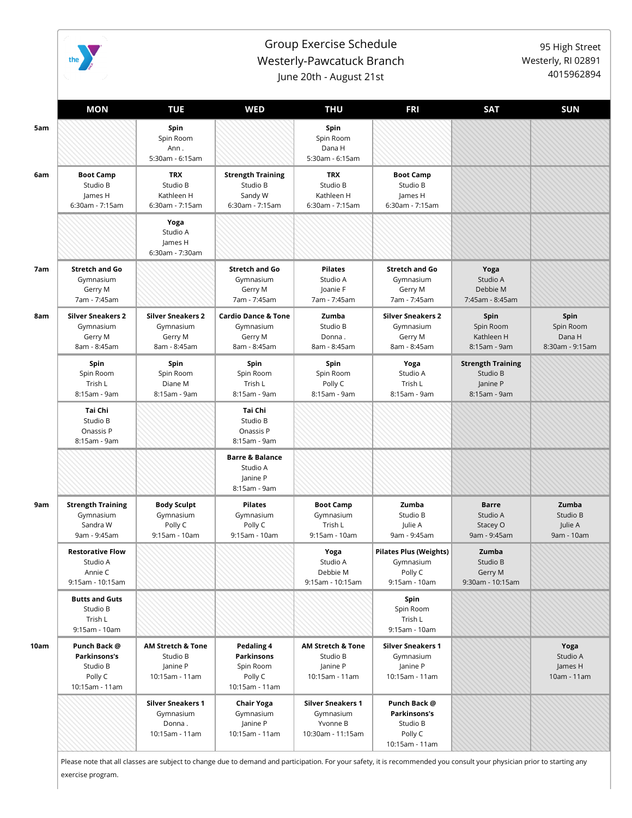

## Group Exercise Schedule Westerly-Pawcatuck Branch

95 High Street Westerly, RI 02891 4015962894

June 20th - August 21st

|      | <b>MON</b>                                                            | <b>TUE</b>                                                             | <b>WED</b>                                                             | <b>THU</b>                                                             | <b>FRI</b>                                                             | <b>SAT</b>                                                       | <b>SUN</b>                                     |
|------|-----------------------------------------------------------------------|------------------------------------------------------------------------|------------------------------------------------------------------------|------------------------------------------------------------------------|------------------------------------------------------------------------|------------------------------------------------------------------|------------------------------------------------|
|      |                                                                       | Spin<br>Spin Room<br>Ann.<br>5:30am - 6:15am                           |                                                                        | Spin<br>Spin Room<br>Dana H<br>5:30am - 6:15am                         |                                                                        |                                                                  |                                                |
| 6am  | <b>Boot Camp</b><br>Studio B<br>James H<br>6:30am - 7:15am            | <b>TRX</b><br>Studio B<br>Kathleen H<br>6:30am - 7:15am                | <b>Strength Training</b><br>Studio B<br>Sandy W<br>6:30am - 7:15am     | <b>TRX</b><br>Studio B<br>Kathleen H<br>6:30am - 7:15am                | <b>Boot Camp</b><br>Studio B<br>James H<br>6:30am - 7:15am             |                                                                  |                                                |
|      |                                                                       | Yoga<br>Studio A<br>James H<br>6:30am - 7:30am                         |                                                                        |                                                                        |                                                                        |                                                                  |                                                |
|      | <b>Stretch and Go</b><br>Gymnasium<br>Gerry M<br>7am - 7:45am         |                                                                        | <b>Stretch and Go</b><br>Gymnasium<br>Gerry M<br>7am - 7:45am          | <b>Pilates</b><br>Studio A<br>Joanie F<br>7am - 7:45am                 | <b>Stretch and Go</b><br>Gymnasium<br>Gerry M<br>7am - 7:45am          | Yoga<br>Studio A<br>Debbie M<br>7:45am - 8:45am                  |                                                |
| 8am  | <b>Silver Sneakers 2</b><br>Gymnasium<br>Gerry M<br>8am - 8:45am      | <b>Silver Sneakers 2</b><br>Gymnasium<br>Gerry M<br>8am - 8:45am       | <b>Cardio Dance &amp; Tone</b><br>Gymnasium<br>Gerry M<br>8am - 8:45am | Zumba<br>Studio B<br>Donna.<br>8am - 8:45am                            | <b>Silver Sneakers 2</b><br>Gymnasium<br>Gerry M<br>8am - 8:45am       | Spin<br>Spin Room<br>Kathleen H<br>8:15am - 9am                  | Spin<br>Spin Room<br>Dana H<br>8:30am - 9:15am |
|      | Spin<br>Spin Room<br>Trish L<br>8:15am - 9am                          | Spin<br>Spin Room<br>Diane M<br>8:15am - 9am                           | Spin<br>Spin Room<br>Trish L<br>8:15am - 9am                           | Spin<br>Spin Room<br>Polly C<br>8:15am - 9am                           | Yoga<br>Studio A<br>Trish L<br>8:15am - 9am                            | <b>Strength Training</b><br>Studio B<br>Janine P<br>8:15am - 9am |                                                |
|      | Tai Chi<br>Studio B<br>Onassis P<br>8:15am - 9am                      |                                                                        | Tai Chi<br>Studio B<br>Onassis P<br>8:15am - 9am                       |                                                                        |                                                                        |                                                                  |                                                |
|      |                                                                       |                                                                        | <b>Barre &amp; Balance</b><br>Studio A<br>Janine P<br>8:15am - 9am     |                                                                        |                                                                        |                                                                  |                                                |
| 9am  | <b>Strength Training</b><br>Gymnasium<br>Sandra W<br>9am - 9:45am     | <b>Body Sculpt</b><br>Gymnasium<br>Polly C<br>9:15am - 10am            | <b>Pilates</b><br>Gymnasium<br>Polly C<br>9:15am - 10am                | <b>Boot Camp</b><br>Gymnasium<br>Trish L<br>9:15am - 10am              | Zumba<br>Studio B<br>Julie A<br>9am - 9:45am                           | <b>Barre</b><br>Studio A<br>Stacey O<br>9am - 9:45am             | Zumba<br>Studio B<br>Julie A<br>9am - 10am     |
|      | <b>Restorative Flow</b><br>Studio A<br>Annie C<br>9:15am - 10:15am    |                                                                        |                                                                        | Yoga<br>Studio A<br>Debbie M<br>9:15am - 10:15am                       | <b>Pilates Plus (Weights)</b><br>Gymnasium<br>Polly C<br>9:15am - 10am | Zumba<br>Studio B<br>Gerry M<br>9:30am - 10:15am                 |                                                |
|      | <b>Butts and Guts</b><br>Studio B<br>Trish L<br>9:15am - 10am         |                                                                        |                                                                        |                                                                        | Spin<br>Spin Room<br>Trish L<br>9:15am - 10am                          |                                                                  |                                                |
| 10am | Punch Back @<br>Parkinsons's<br>Studio B<br>Polly C<br>10:15am - 11am | <b>AM Stretch &amp; Tone</b><br>Studio B<br>Janine P<br>10:15am - 11am | Pedaling 4<br>Parkinsons<br>Spin Room<br>Polly C<br>10:15am - 11am     | <b>AM Stretch &amp; Tone</b><br>Studio B<br>Janine P<br>10:15am - 11am | <b>Silver Sneakers 1</b><br>Gymnasium<br>Janine P<br>10:15am - 11am    |                                                                  | Yoga<br>Studio A<br>James H<br>10am - 11am     |
|      |                                                                       | <b>Silver Sneakers 1</b><br>Gymnasium<br>Donna.<br>10:15am - 11am      | Chair Yoga<br>Gymnasium<br>Janine P<br>10:15am - 11am                  | <b>Silver Sneakers 1</b><br>Gymnasium<br>Yvonne B<br>10:30am - 11:15am | Punch Back @<br>Parkinsons's<br>Studio B<br>Polly C<br>10:15am - 11am  |                                                                  |                                                |

Please note that all classes are subject to change due to demand and participation. For your safety, it is recommended you consult your physician prior to starting any exercise program.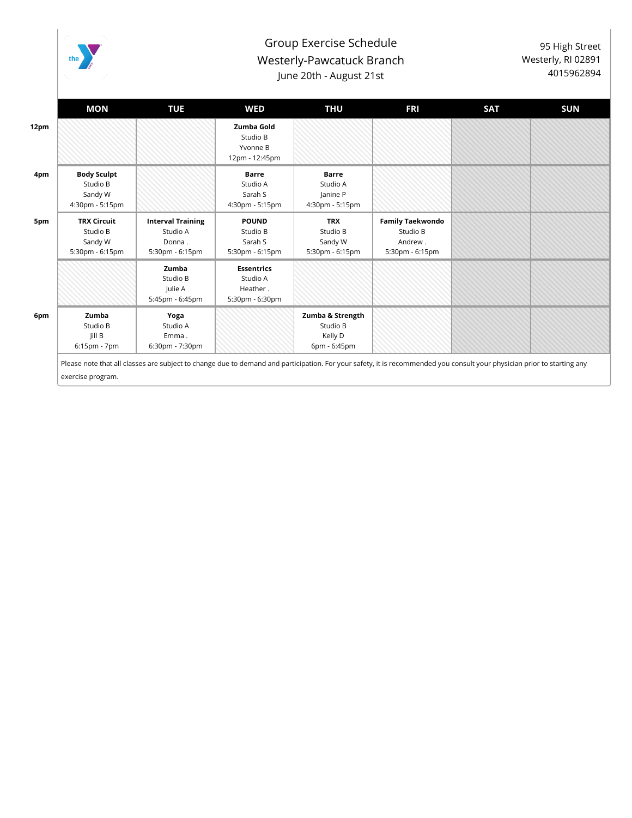

## Group Exercise Schedule Westerly-Pawcatuck Branch June 20th - August 21st

95 High Street Westerly, RI 02891 4015962894

|      | <b>MON</b>                                                   | <b>TUE</b>                                                        | WED                                                          | THU                                                     | <b>FRI</b>                                                        | <b>SAT</b>                                                                                                                                                              | <b>SUN</b> |
|------|--------------------------------------------------------------|-------------------------------------------------------------------|--------------------------------------------------------------|---------------------------------------------------------|-------------------------------------------------------------------|-------------------------------------------------------------------------------------------------------------------------------------------------------------------------|------------|
| 12pm |                                                              |                                                                   | Zumba Gold<br>Studio B<br>Yvonne B<br>12pm - 12:45pm         |                                                         |                                                                   |                                                                                                                                                                         |            |
| 4pm  | <b>Body Sculpt</b><br>Studio B<br>Sandy W<br>4:30pm - 5:15pm |                                                                   | <b>Barre</b><br>Studio A<br>Sarah S<br>4:30pm - 5:15pm       | <b>Barre</b><br>Studio A<br>Janine P<br>4:30pm - 5:15pm |                                                                   |                                                                                                                                                                         |            |
| 5pm  | <b>TRX Circuit</b><br>Studio B<br>Sandy W<br>5:30pm - 6:15pm | <b>Interval Training</b><br>Studio A<br>Donna.<br>5:30pm - 6:15pm | <b>POUND</b><br>Studio B<br>Sarah S<br>5:30pm - 6:15pm       | <b>TRX</b><br>Studio B<br>Sandy W<br>5:30pm - 6:15pm    | <b>Family Taekwondo</b><br>Studio B<br>Andrew.<br>5:30pm - 6:15pm |                                                                                                                                                                         |            |
|      |                                                              | Zumba<br>Studio B<br>Julie A<br>5:45pm - 6:45pm                   | <b>Essentrics</b><br>Studio A<br>Heather.<br>5:30pm - 6:30pm |                                                         |                                                                   |                                                                                                                                                                         |            |
| 6pm  | Zumba<br>Studio B<br>Jill B<br>$6:15$ pm - $7$ pm            | Yoga<br>Studio A<br>Emma.<br>6:30pm - 7:30pm                      |                                                              | Zumba & Strength<br>Studio B<br>Kelly D<br>6pm - 6:45pm |                                                                   |                                                                                                                                                                         |            |
|      |                                                              |                                                                   |                                                              |                                                         |                                                                   | Please note that all classes are subject to change due to demand and participation. For your safety, it is recommended you consult your physician prior to starting any |            |

exercise program.